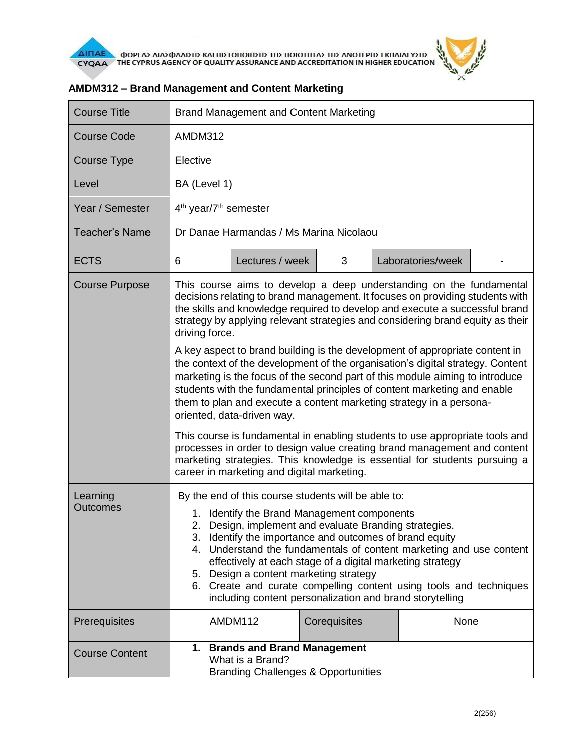

| <b>Course Title</b>         | <b>Brand Management and Content Marketing</b>                                                                                                                                                                                                                                                                                                                                                                                                                                                                                                                                                                                                                                                                                               |                 |              |                   |  |
|-----------------------------|---------------------------------------------------------------------------------------------------------------------------------------------------------------------------------------------------------------------------------------------------------------------------------------------------------------------------------------------------------------------------------------------------------------------------------------------------------------------------------------------------------------------------------------------------------------------------------------------------------------------------------------------------------------------------------------------------------------------------------------------|-----------------|--------------|-------------------|--|
| <b>Course Code</b>          | AMDM312                                                                                                                                                                                                                                                                                                                                                                                                                                                                                                                                                                                                                                                                                                                                     |                 |              |                   |  |
| Course Type                 | Elective                                                                                                                                                                                                                                                                                                                                                                                                                                                                                                                                                                                                                                                                                                                                    |                 |              |                   |  |
| Level                       | BA (Level 1)                                                                                                                                                                                                                                                                                                                                                                                                                                                                                                                                                                                                                                                                                                                                |                 |              |                   |  |
| Year / Semester             | 4 <sup>th</sup> year/7 <sup>th</sup> semester                                                                                                                                                                                                                                                                                                                                                                                                                                                                                                                                                                                                                                                                                               |                 |              |                   |  |
| <b>Teacher's Name</b>       | Dr Danae Harmandas / Ms Marina Nicolaou                                                                                                                                                                                                                                                                                                                                                                                                                                                                                                                                                                                                                                                                                                     |                 |              |                   |  |
| <b>ECTS</b>                 | 6                                                                                                                                                                                                                                                                                                                                                                                                                                                                                                                                                                                                                                                                                                                                           | Lectures / week | 3            | Laboratories/week |  |
| <b>Course Purpose</b>       | This course aims to develop a deep understanding on the fundamental<br>decisions relating to brand management. It focuses on providing students with<br>the skills and knowledge required to develop and execute a successful brand<br>strategy by applying relevant strategies and considering brand equity as their<br>driving force.<br>A key aspect to brand building is the development of appropriate content in<br>the context of the development of the organisation's digital strategy. Content<br>marketing is the focus of the second part of this module aiming to introduce<br>students with the fundamental principles of content marketing and enable<br>them to plan and execute a content marketing strategy in a persona- |                 |              |                   |  |
|                             | oriented, data-driven way.<br>This course is fundamental in enabling students to use appropriate tools and<br>processes in order to design value creating brand management and content<br>marketing strategies. This knowledge is essential for students pursuing a<br>career in marketing and digital marketing.                                                                                                                                                                                                                                                                                                                                                                                                                           |                 |              |                   |  |
| Learning<br><b>Outcomes</b> | By the end of this course students will be able to:<br>1. Identify the Brand Management components<br>2. Design, implement and evaluate Branding strategies.<br>3. Identify the importance and outcomes of brand equity<br>4. Understand the fundamentals of content marketing and use content<br>effectively at each stage of a digital marketing strategy<br>5. Design a content marketing strategy<br>6. Create and curate compelling content using tools and techniques<br>including content personalization and brand storytelling                                                                                                                                                                                                     |                 |              |                   |  |
| Prerequisites               |                                                                                                                                                                                                                                                                                                                                                                                                                                                                                                                                                                                                                                                                                                                                             | AMDM112         | Corequisites | None              |  |
| <b>Course Content</b>       | 1. Brands and Brand Management<br>What is a Brand?<br><b>Branding Challenges &amp; Opportunities</b>                                                                                                                                                                                                                                                                                                                                                                                                                                                                                                                                                                                                                                        |                 |              |                   |  |

## **AMDM312 – Brand Management and Content Marketing**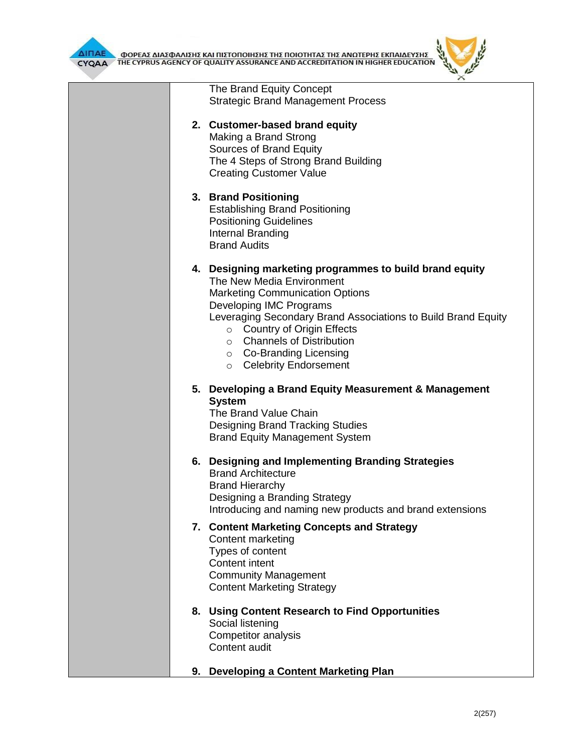

|  |                                                                                                                                                                                                                                                                                                                                               | × |
|--|-----------------------------------------------------------------------------------------------------------------------------------------------------------------------------------------------------------------------------------------------------------------------------------------------------------------------------------------------|---|
|  | The Brand Equity Concept<br><b>Strategic Brand Management Process</b>                                                                                                                                                                                                                                                                         |   |
|  | 2. Customer-based brand equity<br>Making a Brand Strong<br>Sources of Brand Equity<br>The 4 Steps of Strong Brand Building<br><b>Creating Customer Value</b>                                                                                                                                                                                  |   |
|  | 3. Brand Positioning<br><b>Establishing Brand Positioning</b><br><b>Positioning Guidelines</b><br>Internal Branding<br><b>Brand Audits</b>                                                                                                                                                                                                    |   |
|  | 4. Designing marketing programmes to build brand equity<br>The New Media Environment<br><b>Marketing Communication Options</b><br>Developing IMC Programs<br>Leveraging Secondary Brand Associations to Build Brand Equity<br>○ Country of Origin Effects<br>○ Channels of Distribution<br>○ Co-Branding Licensing<br>o Celebrity Endorsement |   |
|  | 5. Developing a Brand Equity Measurement & Management<br><b>System</b><br>The Brand Value Chain<br><b>Designing Brand Tracking Studies</b><br><b>Brand Equity Management System</b>                                                                                                                                                           |   |
|  | 6. Designing and Implementing Branding Strategies<br><b>Brand Architecture</b><br><b>Brand Hierarchy</b><br>Designing a Branding Strategy<br>Introducing and naming new products and brand extensions                                                                                                                                         |   |
|  | 7. Content Marketing Concepts and Strategy<br>Content marketing<br>Types of content<br>Content intent<br><b>Community Management</b><br><b>Content Marketing Strategy</b>                                                                                                                                                                     |   |
|  | 8. Using Content Research to Find Opportunities<br>Social listening<br>Competitor analysis<br>Content audit                                                                                                                                                                                                                                   |   |

**9. Developing a Content Marketing Plan**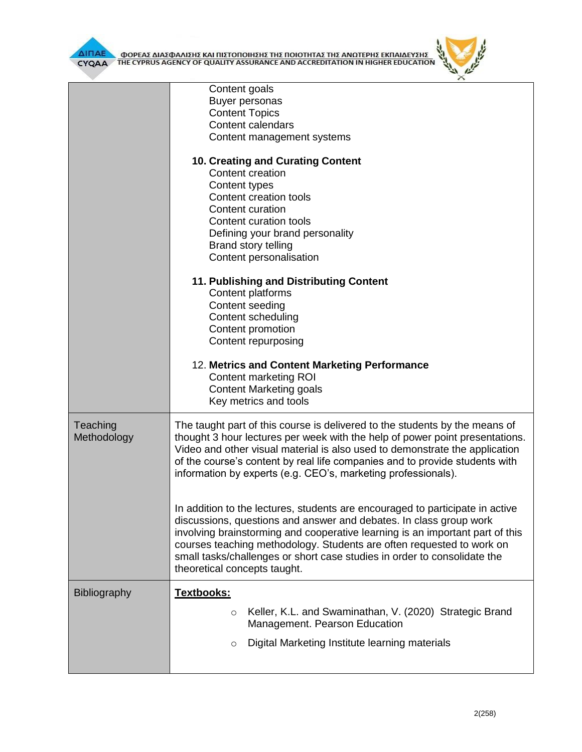

|              | Content goals                                                                                                                                     |  |  |  |  |
|--------------|---------------------------------------------------------------------------------------------------------------------------------------------------|--|--|--|--|
|              | Buyer personas                                                                                                                                    |  |  |  |  |
|              | <b>Content Topics</b>                                                                                                                             |  |  |  |  |
|              | <b>Content calendars</b>                                                                                                                          |  |  |  |  |
|              | Content management systems                                                                                                                        |  |  |  |  |
|              | <b>10. Creating and Curating Content</b>                                                                                                          |  |  |  |  |
|              | Content creation                                                                                                                                  |  |  |  |  |
|              | Content types                                                                                                                                     |  |  |  |  |
|              | Content creation tools                                                                                                                            |  |  |  |  |
|              | Content curation                                                                                                                                  |  |  |  |  |
|              | Content curation tools                                                                                                                            |  |  |  |  |
|              | Defining your brand personality                                                                                                                   |  |  |  |  |
|              | Brand story telling                                                                                                                               |  |  |  |  |
|              | Content personalisation                                                                                                                           |  |  |  |  |
|              | 11. Publishing and Distributing Content                                                                                                           |  |  |  |  |
|              | Content platforms                                                                                                                                 |  |  |  |  |
|              | Content seeding                                                                                                                                   |  |  |  |  |
|              | Content scheduling                                                                                                                                |  |  |  |  |
|              | Content promotion                                                                                                                                 |  |  |  |  |
|              | Content repurposing                                                                                                                               |  |  |  |  |
|              | 12. Metrics and Content Marketing Performance                                                                                                     |  |  |  |  |
|              | <b>Content marketing ROI</b>                                                                                                                      |  |  |  |  |
|              | <b>Content Marketing goals</b>                                                                                                                    |  |  |  |  |
|              | Key metrics and tools                                                                                                                             |  |  |  |  |
| Teaching     | The taught part of this course is delivered to the students by the means of                                                                       |  |  |  |  |
| Methodology  | thought 3 hour lectures per week with the help of power point presentations.                                                                      |  |  |  |  |
|              | Video and other visual material is also used to demonstrate the application                                                                       |  |  |  |  |
|              | of the course's content by real life companies and to provide students with                                                                       |  |  |  |  |
|              | information by experts (e.g. CEO's, marketing professionals).                                                                                     |  |  |  |  |
|              |                                                                                                                                                   |  |  |  |  |
|              | In addition to the lectures, students are encouraged to participate in active                                                                     |  |  |  |  |
|              | discussions, questions and answer and debates. In class group work                                                                                |  |  |  |  |
|              | involving brainstorming and cooperative learning is an important part of this                                                                     |  |  |  |  |
|              | courses teaching methodology. Students are often requested to work on<br>small tasks/challenges or short case studies in order to consolidate the |  |  |  |  |
|              | theoretical concepts taught.                                                                                                                      |  |  |  |  |
|              |                                                                                                                                                   |  |  |  |  |
| Bibliography | Textbooks:                                                                                                                                        |  |  |  |  |
|              | Keller, K.L. and Swaminathan, V. (2020) Strategic Brand<br>$\circ$                                                                                |  |  |  |  |
|              | Management. Pearson Education                                                                                                                     |  |  |  |  |
|              | Digital Marketing Institute learning materials<br>$\circ$                                                                                         |  |  |  |  |
|              |                                                                                                                                                   |  |  |  |  |

 $\theta$  $\mathbb{R}$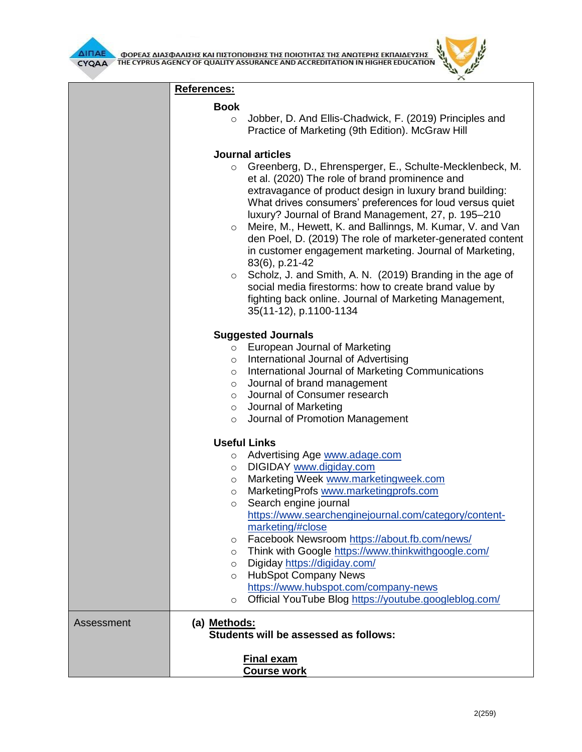



|            | References:                                                                                                                |                                                                                                                                                                                                                                                                                                                                                                                                                                                                                                                                                                                                                                                                                                             |  |  |
|------------|----------------------------------------------------------------------------------------------------------------------------|-------------------------------------------------------------------------------------------------------------------------------------------------------------------------------------------------------------------------------------------------------------------------------------------------------------------------------------------------------------------------------------------------------------------------------------------------------------------------------------------------------------------------------------------------------------------------------------------------------------------------------------------------------------------------------------------------------------|--|--|
|            | <b>Book</b>                                                                                                                |                                                                                                                                                                                                                                                                                                                                                                                                                                                                                                                                                                                                                                                                                                             |  |  |
|            | $\circ$                                                                                                                    | Jobber, D. And Ellis-Chadwick, F. (2019) Principles and<br>Practice of Marketing (9th Edition). McGraw Hill                                                                                                                                                                                                                                                                                                                                                                                                                                                                                                                                                                                                 |  |  |
|            | <b>Journal articles</b>                                                                                                    |                                                                                                                                                                                                                                                                                                                                                                                                                                                                                                                                                                                                                                                                                                             |  |  |
|            | $\circ$<br>$\circ$<br>$\circ$                                                                                              | Greenberg, D., Ehrensperger, E., Schulte-Mecklenbeck, M.<br>et al. (2020) The role of brand prominence and<br>extravagance of product design in luxury brand building:<br>What drives consumers' preferences for loud versus quiet<br>luxury? Journal of Brand Management, 27, p. 195-210<br>Meire, M., Hewett, K. and Ballinngs, M. Kumar, V. and Van<br>den Poel, D. (2019) The role of marketer-generated content<br>in customer engagement marketing. Journal of Marketing,<br>83(6), p.21-42<br>Scholz, J. and Smith, A. N. (2019) Branding in the age of<br>social media firestorms: how to create brand value by<br>fighting back online. Journal of Marketing Management,<br>35(11-12), p.1100-1134 |  |  |
|            | <b>Suggested Journals</b>                                                                                                  |                                                                                                                                                                                                                                                                                                                                                                                                                                                                                                                                                                                                                                                                                                             |  |  |
|            | $\circ$<br>$\circ$<br>$\circ$<br>$\circ$<br>$\circ$<br>$\circ$<br>$\circ$<br>$\circ$<br>$\circ$<br>$\circ$<br>$\circ$<br>O | European Journal of Marketing<br>International Journal of Advertising<br>International Journal of Marketing Communications<br>Journal of brand management<br>Journal of Consumer research<br>Journal of Marketing<br>Journal of Promotion Management<br><b>Useful Links</b><br>Advertising Age www.adage.com<br>DIGIDAY www.digiday.com<br>Marketing Week www.marketingweek.com<br>MarketingProfs www.marketingprofs.com<br>Search engine journal<br>https://www.searchenginejournal.com/category/content-<br>marketing/#close                                                                                                                                                                              |  |  |
|            | $\circ$<br>$\circ$<br>$\circ$<br>$\circ$<br>$\circ$                                                                        | Facebook Newsroom https://about.fb.com/news/<br>Think with Google https://www.thinkwithgoogle.com/<br>Digiday https://digiday.com/<br><b>HubSpot Company News</b><br>https://www.hubspot.com/company-news<br>Official YouTube Blog https://youtube.googleblog.com/                                                                                                                                                                                                                                                                                                                                                                                                                                          |  |  |
| Assessment | (a) Methods:                                                                                                               | Students will be assessed as follows:<br><b>Final exam</b><br><b>Course work</b>                                                                                                                                                                                                                                                                                                                                                                                                                                                                                                                                                                                                                            |  |  |